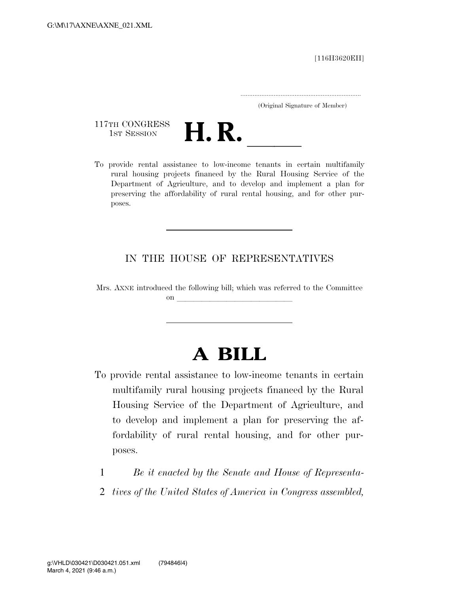[116H3620EH]

.....................................................................

(Original Signature of Member)

117TH CONGRESS<br>1st Session



117TH CONGRESS<br>1st SESSION<br>To provide rental assistance to low-income tenants in certain multifamily rural housing projects financed by the Rural Housing Service of the Department of Agriculture, and to develop and implement a plan for preserving the affordability of rural rental housing, and for other purposes.

### IN THE HOUSE OF REPRESENTATIVES

Mrs. AXNE introduced the following bill; which was referred to the Committee  $\mathbf{on}$ 

# **A BILL**

- To provide rental assistance to low-income tenants in certain multifamily rural housing projects financed by the Rural Housing Service of the Department of Agriculture, and to develop and implement a plan for preserving the affordability of rural rental housing, and for other purposes.
	- 1 *Be it enacted by the Senate and House of Representa-*
	- 2 *tives of the United States of America in Congress assembled,*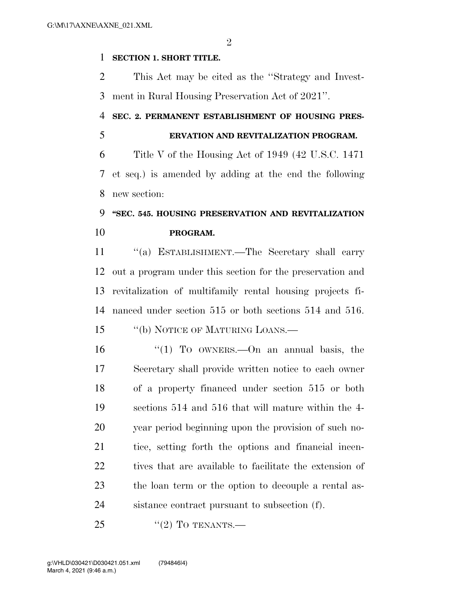$\mathfrak{D}$ 

#### **SECTION 1. SHORT TITLE.**

 This Act may be cited as the ''Strategy and Invest-ment in Rural Housing Preservation Act of 2021''.

#### **SEC. 2. PERMANENT ESTABLISHMENT OF HOUSING PRES-**

#### **ERVATION AND REVITALIZATION PROGRAM.**

 Title V of the Housing Act of 1949 (42 U.S.C. 1471 et seq.) is amended by adding at the end the following new section:

## **''SEC. 545. HOUSING PRESERVATION AND REVITALIZATION PROGRAM.**

 ''(a) ESTABLISHMENT.—The Secretary shall carry out a program under this section for the preservation and revitalization of multifamily rental housing projects fi- nanced under section 515 or both sections 514 and 516. 15 "(b) NOTICE OF MATURING LOANS.—

 ''(1) TO OWNERS.—On an annual basis, the Secretary shall provide written notice to each owner of a property financed under section 515 or both sections 514 and 516 that will mature within the 4- year period beginning upon the provision of such no- tice, setting forth the options and financial incen-22 tives that are available to facilitate the extension of the loan term or the option to decouple a rental as-sistance contract pursuant to subsection (f).

25  $"(2)$  To TENANTS.—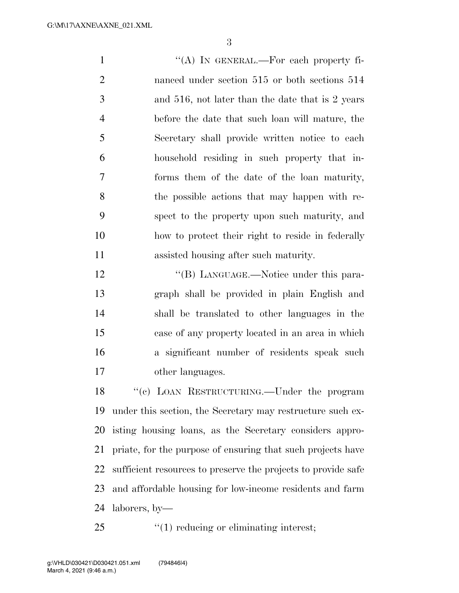$\langle (A) \rangle$  In GENERAL.—For each property fi- nanced under section 515 or both sections 514 3 and 516, not later than the date that is 2 years before the date that such loan will mature, the Secretary shall provide written notice to each household residing in such property that in- forms them of the date of the loan maturity, the possible actions that may happen with re- spect to the property upon such maturity, and how to protect their right to reside in federally assisted housing after such maturity.

12 "(B) LANGUAGE.—Notice under this para- graph shall be provided in plain English and shall be translated to other languages in the case of any property located in an area in which a significant number of residents speak such other languages.

 ''(c) LOAN RESTRUCTURING.—Under the program under this section, the Secretary may restructure such ex- isting housing loans, as the Secretary considers appro- priate, for the purpose of ensuring that such projects have sufficient resources to preserve the projects to provide safe and affordable housing for low-income residents and farm laborers, by—

25  $\frac{1}{25}$  (1) reducing or eliminating interest;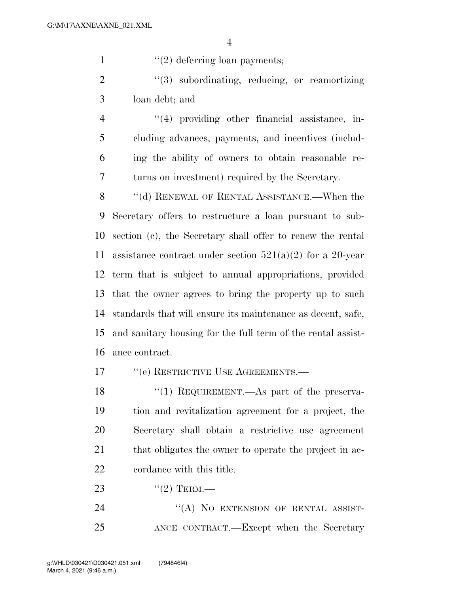1  $\frac{1}{2}$  deferring loan payments;

2  $\frac{1}{2}$  (3) subordinating, reducing, or reamortizing 3 loan debt; and

4 "(4) providing other financial assistance, in- cluding advances, payments, and incentives (includ- ing the ability of owners to obtain reasonable re-turns on investment) required by the Secretary.

8 "(d) RENEWAL OF RENTAL ASSISTANCE.—When the Secretary offers to restructure a loan pursuant to sub- section (c), the Secretary shall offer to renew the rental 11 assistance contract under section  $521(a)(2)$  for a 20-year term that is subject to annual appropriations, provided that the owner agrees to bring the property up to such standards that will ensure its maintenance as decent, safe, and sanitary housing for the full term of the rental assist-ance contract.

17 <sup>"</sup>(e) RESTRICTIVE USE AGREEMENTS.—

18 ''(1) REQUIREMENT.—As part of the preserva-19 tion and revitalization agreement for a project, the 20 Secretary shall obtain a restrictive use agreement 21 that obligates the owner to operate the project in ac-22 cordance with this title.

23  $((2)$  TERM.—

24 "(A) NO EXTENSION OF RENTAL ASSIST-25 ANCE CONTRACT.—Except when the Secretary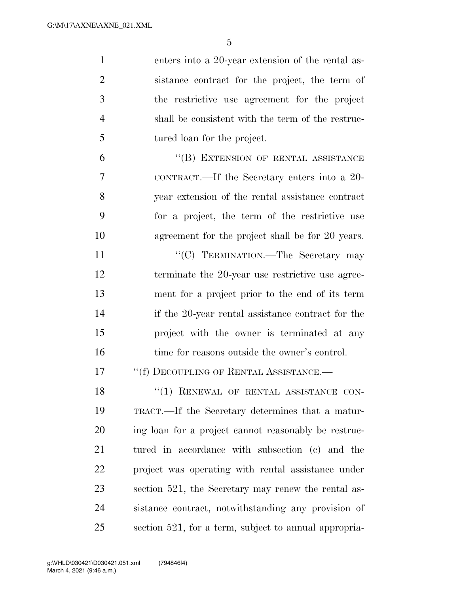| $\mathbf{1}$   | enters into a 20-year extension of the rental as-     |
|----------------|-------------------------------------------------------|
| $\overline{2}$ | sistance contract for the project, the term of        |
| 3              | the restrictive use agreement for the project         |
| $\overline{4}$ | shall be consistent with the term of the restruc-     |
| 5              | tured loan for the project.                           |
| 6              | "(B) EXTENSION OF RENTAL ASSISTANCE                   |
| 7              | CONTRACT.—If the Secretary enters into a 20-          |
| 8              | year extension of the rental assistance contract      |
| 9              | for a project, the term of the restrictive use        |
| 10             | agreement for the project shall be for 20 years.      |
| 11             | "(C) TERMINATION.—The Secretary may                   |
| 12             | terminate the 20-year use restrictive use agree-      |
| 13             | ment for a project prior to the end of its term       |
| 14             | if the 20-year rental assistance contract for the     |
| 15             | project with the owner is terminated at any           |
| 16             | time for reasons outside the owner's control.         |
| 17             | "(f) DECOUPLING OF RENTAL ASSISTANCE.—                |
| 18             | $(1)$ RENEWAL OF RENTAL ASSISTANCE CON-               |
| 19             | TRACT.—If the Secretary determines that a matur-      |
| 20             | ing loan for a project cannot reasonably be restruc-  |
| 21             | tured in accordance with subsection (c) and the       |
| 22             | project was operating with rental assistance under    |
| 23             | section 521, the Secretary may renew the rental as-   |
| 24             | sistance contract, notwithstanding any provision of   |
| 25             | section 521, for a term, subject to annual appropria- |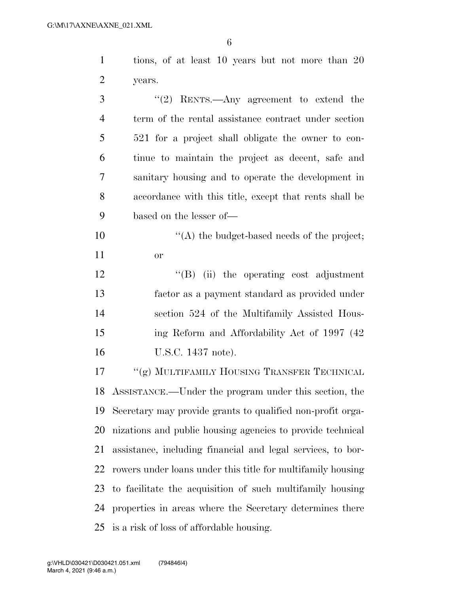tions, of at least 10 years but not more than 20

| $\overline{2}$ | years.                                                      |
|----------------|-------------------------------------------------------------|
| 3              | "(2) RENTS.—Any agreement to extend the                     |
| $\overline{4}$ | term of the rental assistance contract under section        |
| 5              | 521 for a project shall obligate the owner to con-          |
| 6              | tinue to maintain the project as decent, safe and           |
| 7              | sanitary housing and to operate the development in          |
| 8              | accordance with this title, except that rents shall be      |
| 9              | based on the lesser of-                                     |
| 10             | $\lq\lq$ the budget-based needs of the project;             |
| 11             | <b>or</b>                                                   |
| 12             | $\lq\lq(B)$ (ii) the operating cost adjustment              |
| 13             | factor as a payment standard as provided under              |
| 14             | section 524 of the Multifamily Assisted Hous-               |
| 15             | ing Reform and Affordability Act of 1997 (42)               |
| 16             | U.S.C. 1437 note).                                          |
| 17             | "(g) MULTIFAMILY HOUSING TRANSFER TECHNICAL                 |
| 18             | ASSISTANCE.—Under the program under this section, the       |
| 19             | Secretary may provide grants to qualified non-profit orga-  |
| 20             | nizations and public housing agencies to provide technical  |
| 21             | assistance, including financial and legal services, to bor- |
| 22             | rowers under loans under this title for multifamily housing |
| 23             | to facilitate the acquisition of such multifamily housing   |
| 24             | properties in areas where the Secretary determines there    |
| 25             | is a risk of loss of affordable housing.                    |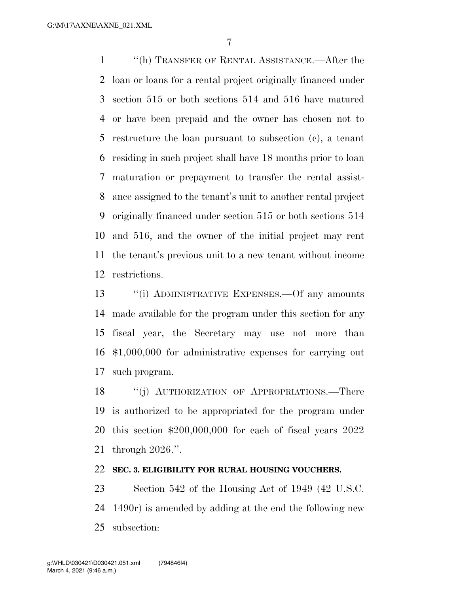''(h) TRANSFER OF RENTAL ASSISTANCE.—After the loan or loans for a rental project originally financed under section 515 or both sections 514 and 516 have matured or have been prepaid and the owner has chosen not to restructure the loan pursuant to subsection (c), a tenant residing in such project shall have 18 months prior to loan maturation or prepayment to transfer the rental assist- ance assigned to the tenant's unit to another rental project originally financed under section 515 or both sections 514 and 516, and the owner of the initial project may rent the tenant's previous unit to a new tenant without income restrictions.

 ''(i) ADMINISTRATIVE EXPENSES.—Of any amounts made available for the program under this section for any fiscal year, the Secretary may use not more than \$1,000,000 for administrative expenses for carrying out such program.

18 "(j) AUTHORIZATION OF APPROPRIATIONS.—There is authorized to be appropriated for the program under this section \$200,000,000 for each of fiscal years 2022 through 2026.''.

#### **SEC. 3. ELIGIBILITY FOR RURAL HOUSING VOUCHERS.**

 Section 542 of the Housing Act of 1949 (42 U.S.C. 1490r) is amended by adding at the end the following new subsection: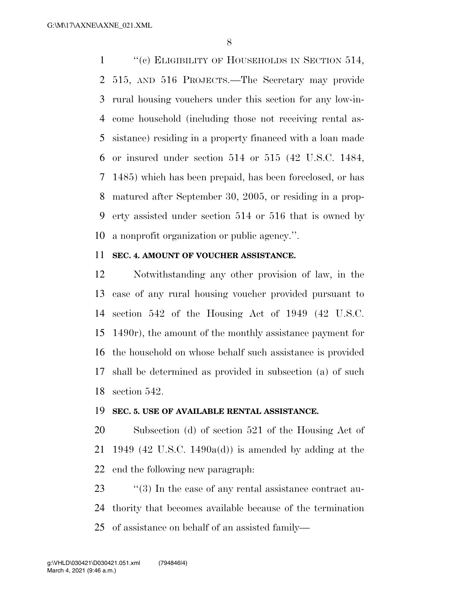<sup>1</sup>(e) ELIGIBILITY OF HOUSEHOLDS IN SECTION 514, 515, AND 516 PROJECTS.—The Secretary may provide rural housing vouchers under this section for any low-in- come household (including those not receiving rental as- sistance) residing in a property financed with a loan made or insured under section 514 or 515 (42 U.S.C. 1484, 1485) which has been prepaid, has been foreclosed, or has matured after September 30, 2005, or residing in a prop- erty assisted under section 514 or 516 that is owned by a nonprofit organization or public agency.''.

#### **SEC. 4. AMOUNT OF VOUCHER ASSISTANCE.**

 Notwithstanding any other provision of law, in the case of any rural housing voucher provided pursuant to section 542 of the Housing Act of 1949 (42 U.S.C. 1490r), the amount of the monthly assistance payment for the household on whose behalf such assistance is provided shall be determined as provided in subsection (a) of such section 542.

#### **SEC. 5. USE OF AVAILABLE RENTAL ASSISTANCE.**

 Subsection (d) of section 521 of the Housing Act of 1949 (42 U.S.C. 1490a(d)) is amended by adding at the end the following new paragraph:

23 ''(3) In the case of any rental assistance contract au- thority that becomes available because of the termination of assistance on behalf of an assisted family—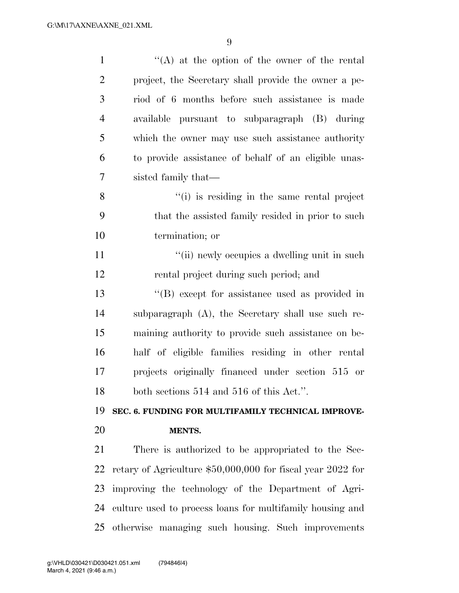| $\mathbf{1}$   | $\lq\lq$ at the option of the owner of the rental            |
|----------------|--------------------------------------------------------------|
| $\overline{2}$ | project, the Secretary shall provide the owner a pe-         |
| 3              | riod of 6 months before such assistance is made              |
| $\overline{4}$ | available pursuant to subparagraph (B) during                |
| 5              | which the owner may use such assistance authority            |
| 6              | to provide assistance of behalf of an eligible unas-         |
| 7              | sisted family that—                                          |
| 8              | "(i) is residing in the same rental project                  |
| 9              | that the assisted family resided in prior to such            |
| 10             | termination; or                                              |
| 11             | "(ii) newly occupies a dwelling unit in such                 |
| 12             | rental project during such period; and                       |
| 13             | $\lq\lq$ except for assistance used as provided in           |
| 14             | subparagraph (A), the Secretary shall use such re-           |
| 15             | maining authority to provide such assistance on be-          |
| 16             | half of eligible families residing in other rental           |
| 17             | projects originally financed under section 515 or            |
| 18             | both sections 514 and 516 of this Act.".                     |
| 19             | SEC. 6. FUNDING FOR MULTIFAMILY TECHNICAL IMPROVE-           |
| 20             | MENTS.                                                       |
| 21             | There is authorized to be appropriated to the Sec-           |
| 22             | retary of Agriculture $$50,000,000$ for fiscal year 2022 for |
| 23             | improving the technology of the Department of Agri-          |
| 24             | culture used to process loans for multifamily housing and    |
| 25             | otherwise managing such housing. Such improvements           |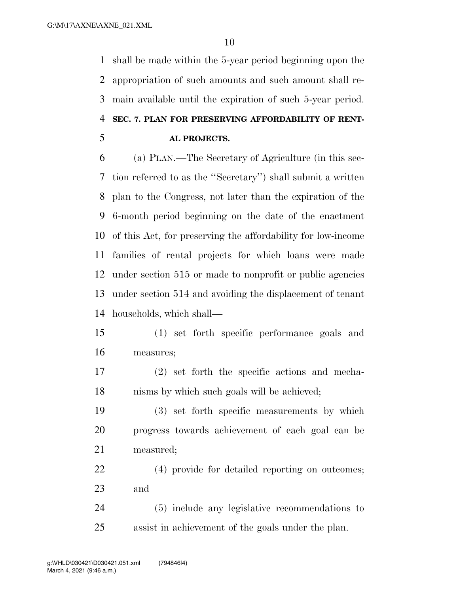shall be made within the 5-year period beginning upon the appropriation of such amounts and such amount shall re- main available until the expiration of such 5-year period. **SEC. 7. PLAN FOR PRESERVING AFFORDABILITY OF RENT-AL PROJECTS.** 

 (a) PLAN.—The Secretary of Agriculture (in this sec- tion referred to as the ''Secretary'') shall submit a written plan to the Congress, not later than the expiration of the 6-month period beginning on the date of the enactment of this Act, for preserving the affordability for low-income families of rental projects for which loans were made under section 515 or made to nonprofit or public agencies under section 514 and avoiding the displacement of tenant households, which shall—

- (1) set forth specific performance goals and measures;
- (2) set forth the specific actions and mecha-nisms by which such goals will be achieved;

 (3) set forth specific measurements by which progress towards achievement of each goal can be measured;

 (4) provide for detailed reporting on outcomes; and

 (5) include any legislative recommendations to assist in achievement of the goals under the plan.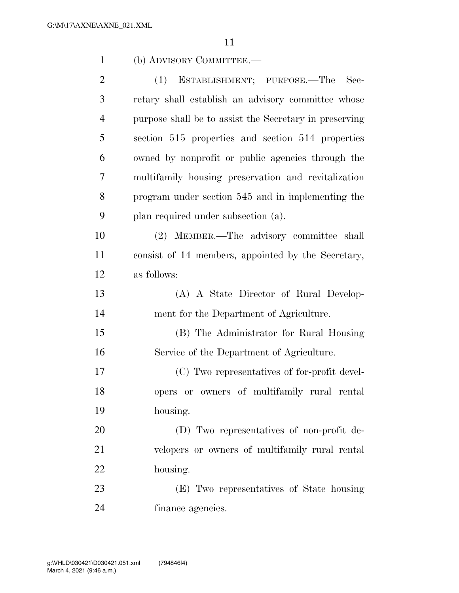| $\mathbf{1}$   | (b) ADVISORY COMMITTEE.-                               |
|----------------|--------------------------------------------------------|
| $\overline{2}$ | (1) ESTABLISHMENT; PURPOSE.—The<br>- Sec-              |
| 3              | retary shall establish an advisory committee whose     |
| $\overline{4}$ | purpose shall be to assist the Secretary in preserving |
| 5              | section 515 properties and section 514 properties      |
| 6              | owned by nonprofit or public agencies through the      |
| 7              | multifamily housing preservation and revitalization    |
| 8              | program under section 545 and in implementing the      |
| 9              | plan required under subsection (a).                    |
| 10             | (2) MEMBER.—The advisory committee shall               |
| 11             | consist of 14 members, appointed by the Secretary,     |
| 12             | as follows:                                            |
| 13             | (A) A State Director of Rural Develop-                 |
| 14             | ment for the Department of Agriculture.                |
| 15             | (B) The Administrator for Rural Housing                |
| 16             | Service of the Department of Agriculture.              |
| 17             | (C) Two representatives of for-profit devel-           |
| 18             | opers or owners of multifamily rural rental            |
| 19             | housing.                                               |
| 20             | (D) Two representatives of non-profit de-              |
| 21             | velopers or owners of multifamily rural rental         |
| 22             | housing.                                               |
| 23             | (E) Two representatives of State housing               |
| 24             | finance agencies.                                      |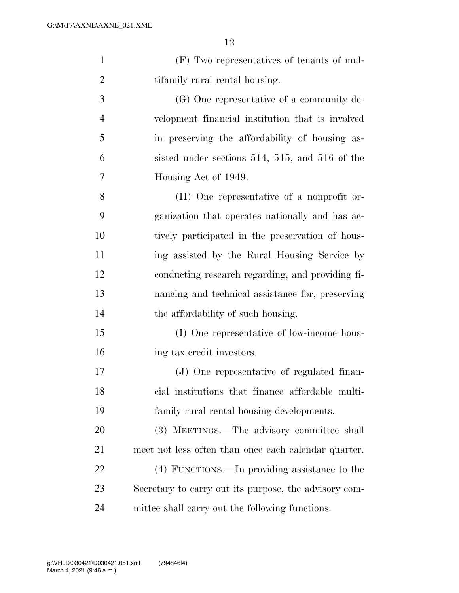| $\mathbf{1}$   | (F) Two representatives of tenants of mul-            |
|----------------|-------------------------------------------------------|
| $\overline{2}$ | tifamily rural rental housing.                        |
| 3              | (G) One representative of a community de-             |
| $\overline{4}$ | velopment financial institution that is involved      |
| 5              | in preserving the affordability of housing as-        |
| 6              | sisted under sections 514, 515, and 516 of the        |
| 7              | Housing Act of 1949.                                  |
| 8              | (H) One representative of a nonprofit or-             |
| 9              | ganization that operates nationally and has ac-       |
| 10             | tively participated in the preservation of hous-      |
| 11             | ing assisted by the Rural Housing Service by          |
| 12             | conducting research regarding, and providing fi-      |
| 13             | nancing and technical assistance for, preserving      |
| 14             | the affordability of such housing.                    |
| 15             | (I) One representative of low-income hous-            |
| 16             | ing tax credit investors.                             |
| 17             | (J) One representative of regulated finan-            |
| 18             | cial institutions that finance affordable multi-      |
| 19             | family rural rental housing developments.             |
| 20             | (3) MEETINGS.—The advisory committee shall            |
| 21             | meet not less often than once each calendar quarter.  |
| 22             | (4) FUNCTIONS.—In providing assistance to the         |
| 23             | Secretary to carry out its purpose, the advisory com- |
| 24             | mittee shall carry out the following functions:       |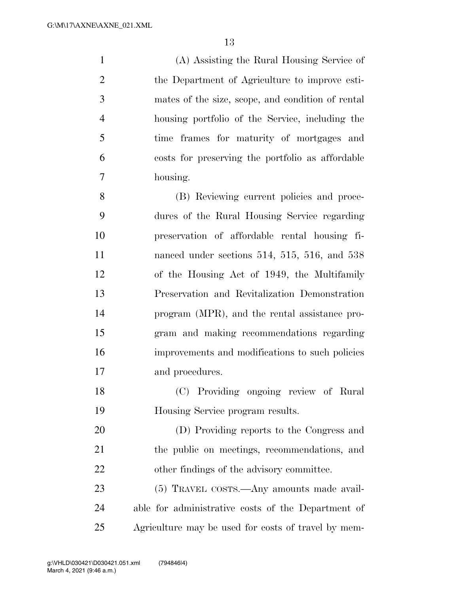(A) Assisting the Rural Housing Service of the Department of Agriculture to improve esti- mates of the size, scope, and condition of rental housing portfolio of the Service, including the time frames for maturity of mortgages and costs for preserving the portfolio as affordable housing.

 (B) Reviewing current policies and proce- dures of the Rural Housing Service regarding preservation of affordable rental housing fi- nanced under sections 514, 515, 516, and 538 of the Housing Act of 1949, the Multifamily Preservation and Revitalization Demonstration program (MPR), and the rental assistance pro- gram and making recommendations regarding improvements and modifications to such policies and procedures.

 (C) Providing ongoing review of Rural Housing Service program results.

 (D) Providing reports to the Congress and the public on meetings, recommendations, and 22 other findings of the advisory committee.

 (5) TRAVEL COSTS.—Any amounts made avail- able for administrative costs of the Department of Agriculture may be used for costs of travel by mem-